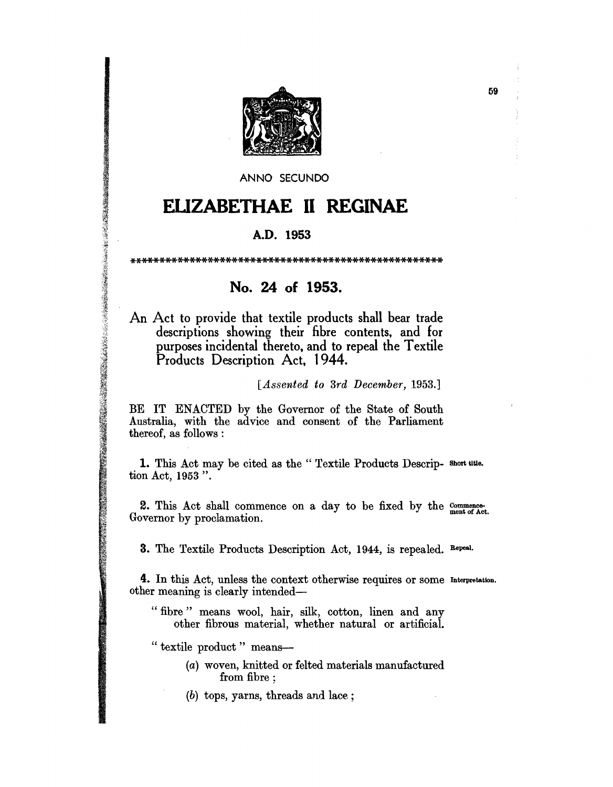

ANNO SECUNDO

## **EUZABETHAE II REGINAE**

## A.D. **1953**

\*\*\*\*\*\*\*\*\*\*\*\*\*\*\*\*\*\*\*\*\*\*\*\*\*\*\*\*\*\*\*\*\*\*\*\*\*\*\*\*\*\*\*\*\*\*\*\*\*\*\*\*

## **No. 24 of 1953.**

An Act to provide that textile products shall bear trade descriptions showing their fibre contents, and for purposes incidental thereto, and to repeal the Textile Products Description Act, 1944.

## [Assented to 3rd December, 1953.]

BE IT ENACTED by the Governor of the State of South Australia, with the advice and consent of the Parliament thereof, as follows :

1. This Act may be cited as the "Textile Products Descrip- Short title. tion Act, 1953 ".

2. This Act shall commence on a day to be fixed by the  $_{\text{mem} \text{ of } \text{Act.}}^{\text{common} \text{ of } \text{Act.}}$ Governor by proclamation.

3. The Textile Products Description Act, 1944, is repealed. Repeal.

4. In this Act, unless the context otherwise requires or some Interpretation. other meaning is clearly intended-

" fibre " means wool, hair, silk, cotton, linen and any other fibrous material, whether natural or artificial.

" textile product" means-

の、そのことは、そのことが、そのことが、そのことが、そのことが、そのことに、そのことに、そのことに、そのことに、そのことに、そのことに、そのことに、そのことに、そのことに、そのことに、そのことに、そのことに、そのことに、そのことに、そのことに、そのことに、そのことに、そのことに、そのことに、そのことに、そのことに、そのことに、そのことに、そのことに、そのことに、そのことに、そのことに、そのことに、そのことに、そのことに、そのことに、その

- (a) woven, knitted or felted materials manufactured from fibre;
- (b) tops, yarns, threads and lace;

59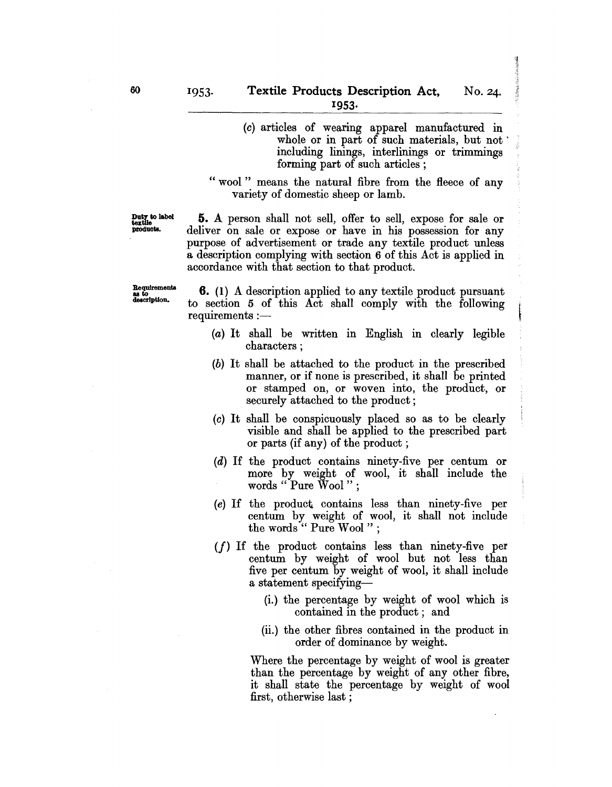- (0) articles of wearing apparel manufactured in whole or in part of such materials, but not including linings, interlinings or trimmings forming part of such articles ;
- " wool" means the natural fibre from the fleece of any variety of domestic sheep or lamb.

Duty to label textile products.

S. A person shall not sell, offer to sell, expose for sale or deliver on sale or expose or have in his possession for any purpose of advertisement or trade any textile product unless a description complying with section 6 of this Act is applied in accordance with that section to that product.

Requirements as to<br>description.

6. (1) A description applied to any textile product pursuant to section 5 of this Act shall comply with the following  $requirements :=$ 

- (a) It shall be written in English in clearly legible characters ;
- (b) It shall be attached to the product in the prescribed manner, or if none is prescribed, it shall be printed or stamped on, or woven into, the product, or securely attached to the product;
- (0) It shall be conspicuously placed so as to be clearly visible and shall be applied to the prescribed part or parts (if any) of the product;
- (d) If the product contains ninety-five per centum or more by weight of wool, it shall include the words " Pure Wool " ;
- (e) If the product. contains less than ninety-five per centum by weight of wool, it shall not include the words" Pure Wool";
- $(f)$  If the product contains less than ninety-five per centum by weight of wool but not less than five per centum by weight of wool, it shall include a statement specifying--
	- (i.) the percentage by weight of wool which is contained in the product; and
	- (ii.) the other fibres contained in the product in order of dominance by weight.

Where the percentage by weight of wool is greater than the percentage by weight of any other fibre, it shall state the percentage by weight of wool first, otherwise last ;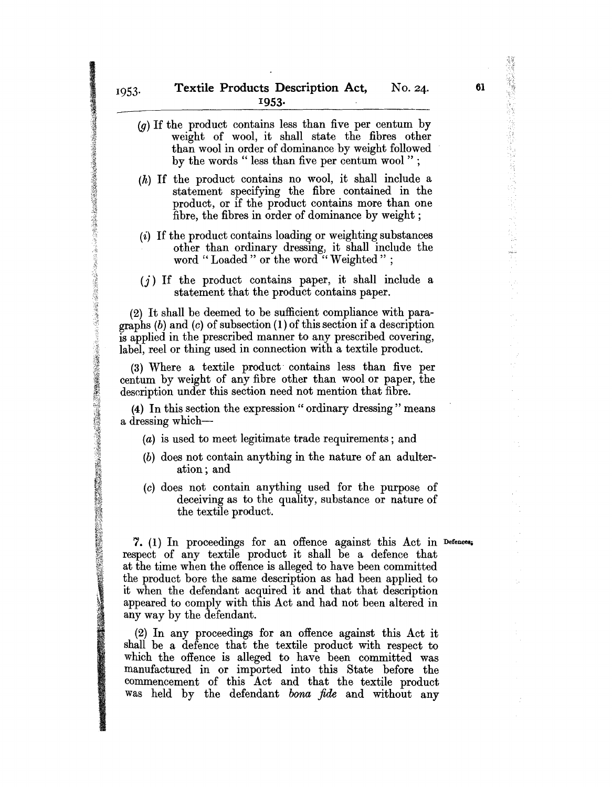$(g)$  If the product contains less than five per centum by weight of wool, it shall state the fibres other than wool in order of dominance by weight followed by the words " less than five per centum wool"; (h) If the product contains no wool, it shall include a statement specifying the fibre contained in the product, or if the product contains more than one fibre, the fibres in order of dominance by weight; (i) If the product contains loading or weighting substances other than ordinary dressing, it shall include the word "Loaded" or the word "Weighted";  $(j)$  If the product contains paper, it shall include a statement that the product contains paper. (2) It shall be deemed to be sufficient compliance with paragraphs  $(b)$  and  $(c)$  of subsection  $(1)$  of this section if a description is applied in the prescribed manner to any prescribed covering, label, reel or thing used in connection with a textile product.

(3) Where a textile product· contains less than five per centum by weight of any fibre other than wool or paper, the description under this section need not mention that fibre.

**精神の機能のあるから、そのようなから、そのようなから、そのように、そのようになっているから、そのようなので、なんですが、このようなので、そのようなので、そのようなので、そのようなので、そのようなので、そのようなので、そのようなので、そのようなので、そのようなので、そのようなので、そのようなので、そのようなので、そのようなので、そのようなので、そのようなので、そのようなので、そのようなので、そのようなので、そのようなので、そのようなので** 

(4) In this section the expression" ordinary dressing" means a dressing which-

- (a) is used to meet legitimate trade requirements; and
- (b) does not contain anything in the nature of an adulteration; and
- (c) does not contain anything used for the purpose of deceiving as to the quality, substance or nature of the textile product.

7. (1) In proceedings for an offence against this Act in Defences. respect of any textile product it shall be a defence that at the time when the offence is alleged to have been committed the product bore the same description as had been applied to it when the defendant acquired it and that that description appeared to comply with this Act and had not been altered in any way by the defendant.

(2) In any proceedings for an offence against this Act it shall be a defence that the textile product with respect to which the offence is alleged to have been committed was manufactured in or imported into this State before the commencement of this Act and that the textile product was held by the defendant *bona fide* and without any

優勝経営機関の種類を提供する「自分協力」は、「自分」に、「自分」には、「「自分」について、「純化」について、「自分」について、「自分」には、「自分」には、「自分」について、「自分」について、「自分」に